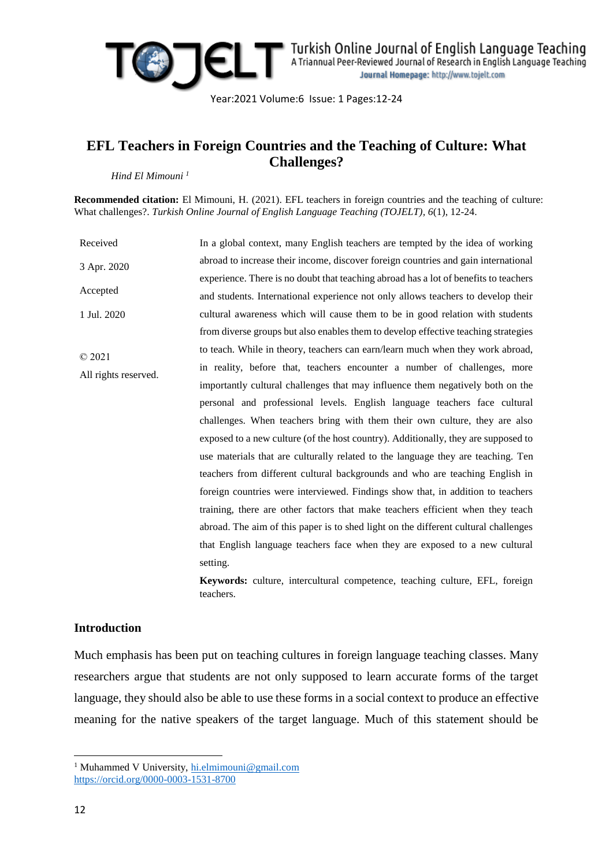

Year:2021 Volume:6 Issue: 1 Pages:12-24

## **EFL Teachers in Foreign Countries and the Teaching of Culture: What Challenges?**

*Hind El Mimouni <sup>1</sup>*

**Recommended citation:** El Mimouni, H. (2021). EFL teachers in foreign countries and the teaching of culture: What challenges?. *Turkish Online Journal of English Language Teaching (TOJELT), 6*(1), 12-24.

Received 3 Apr. 2020 Accepted 1 Jul. 2020 © 2021 All rights reserved. In a global context, many English teachers are tempted by the idea of working abroad to increase their income, discover foreign countries and gain international experience. There is no doubt that teaching abroad has a lot of benefits to teachers and students. International experience not only allows teachers to develop their cultural awareness which will cause them to be in good relation with students from diverse groups but also enables them to develop effective teaching strategies to teach. While in theory, teachers can earn/learn much when they work abroad, in reality, before that, teachers encounter a number of challenges, more importantly cultural challenges that may influence them negatively both on the personal and professional levels. English language teachers face cultural challenges. When teachers bring with them their own culture, they are also exposed to a new culture (of the host country). Additionally, they are supposed to use materials that are culturally related to the language they are teaching. Ten teachers from different cultural backgrounds and who are teaching English in foreign countries were interviewed. Findings show that, in addition to teachers training, there are other factors that make teachers efficient when they teach abroad. The aim of this paper is to shed light on the different cultural challenges that English language teachers face when they are exposed to a new cultural setting.

**Keywords:** culture, intercultural competence, teaching culture, EFL, foreign teachers.

## **Introduction**

Much emphasis has been put on teaching cultures in foreign language teaching classes. Many researchers argue that students are not only supposed to learn accurate forms of the target language, they should also be able to use these forms in a social context to produce an effective meaning for the native speakers of the target language. Much of this statement should be

**<sup>.</sup>** <sup>1</sup> Muhammed V University, [hi.elmimouni@gmail.com](mailto:hi.elmimouni@gmail.com) <https://orcid.org/0000-0003-1531-8700>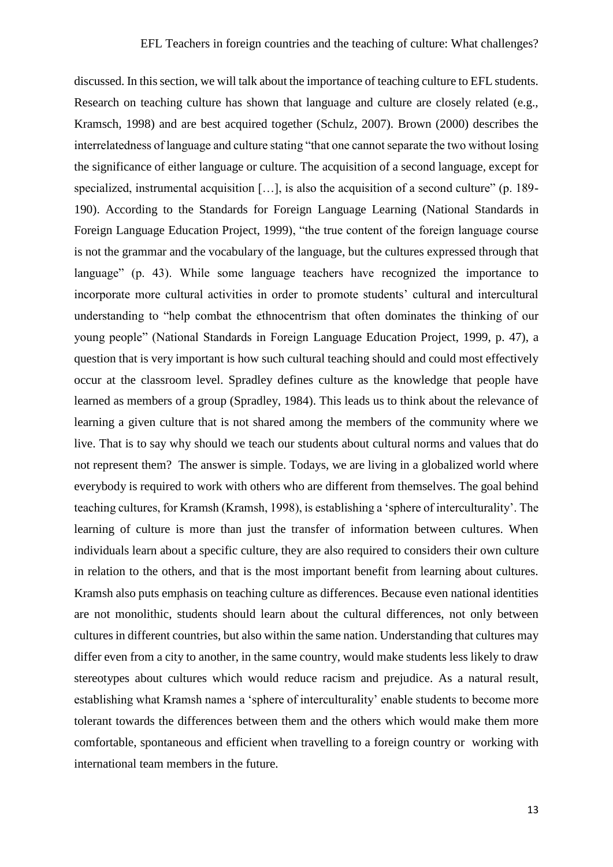discussed. In this section, we will talk about the importance of teaching culture to EFL students. Research on teaching culture has shown that language and culture are closely related (e.g., Kramsch, 1998) and are best acquired together (Schulz, 2007). Brown (2000) describes the interrelatedness of language and culture stating "that one cannot separate the two without losing the significance of either language or culture. The acquisition of a second language, except for specialized, instrumental acquisition [...], is also the acquisition of a second culture" (p. 189-190). According to the Standards for Foreign Language Learning (National Standards in Foreign Language Education Project, 1999), "the true content of the foreign language course is not the grammar and the vocabulary of the language, but the cultures expressed through that language" (p. 43). While some language teachers have recognized the importance to incorporate more cultural activities in order to promote students' cultural and intercultural understanding to "help combat the ethnocentrism that often dominates the thinking of our young people" (National Standards in Foreign Language Education Project, 1999, p. 47), a question that is very important is how such cultural teaching should and could most effectively occur at the classroom level. Spradley defines culture as the knowledge that people have learned as members of a group (Spradley, 1984). This leads us to think about the relevance of learning a given culture that is not shared among the members of the community where we live. That is to say why should we teach our students about cultural norms and values that do not represent them? The answer is simple. Todays, we are living in a globalized world where everybody is required to work with others who are different from themselves. The goal behind teaching cultures, for Kramsh (Kramsh, 1998), is establishing a 'sphere of interculturality'. The learning of culture is more than just the transfer of information between cultures. When individuals learn about a specific culture, they are also required to considers their own culture in relation to the others, and that is the most important benefit from learning about cultures. Kramsh also puts emphasis on teaching culture as differences. Because even national identities are not monolithic, students should learn about the cultural differences, not only between cultures in different countries, but also within the same nation. Understanding that cultures may differ even from a city to another, in the same country, would make students less likely to draw stereotypes about cultures which would reduce racism and prejudice. As a natural result, establishing what Kramsh names a 'sphere of interculturality' enable students to become more tolerant towards the differences between them and the others which would make them more comfortable, spontaneous and efficient when travelling to a foreign country or working with international team members in the future.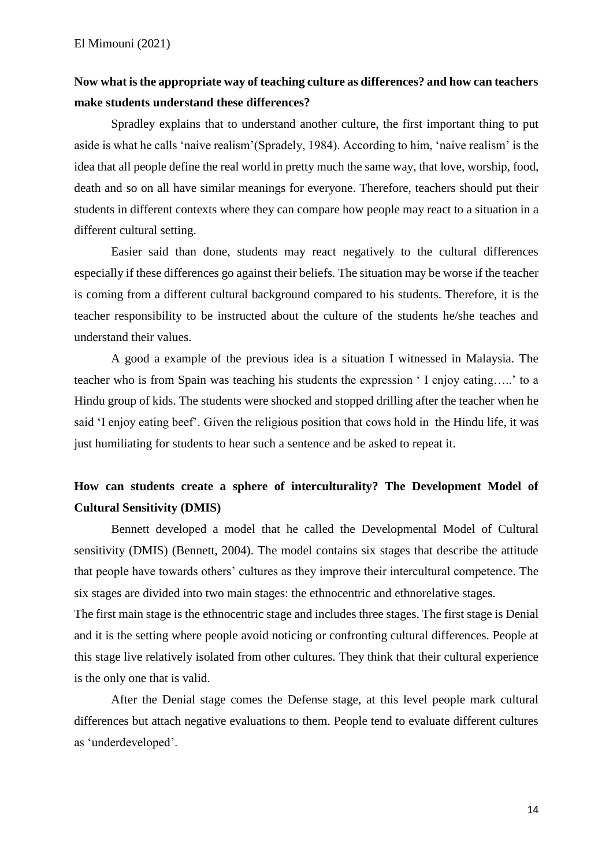# **Now what is the appropriate way of teaching culture as differences? and how can teachers make students understand these differences?**

Spradley explains that to understand another culture, the first important thing to put aside is what he calls 'naive realism'(Spradely, 1984). According to him, 'naive realism' is the idea that all people define the real world in pretty much the same way, that love, worship, food, death and so on all have similar meanings for everyone. Therefore, teachers should put their students in different contexts where they can compare how people may react to a situation in a different cultural setting.

Easier said than done, students may react negatively to the cultural differences especially if these differences go against their beliefs. The situation may be worse if the teacher is coming from a different cultural background compared to his students. Therefore, it is the teacher responsibility to be instructed about the culture of the students he/she teaches and understand their values.

A good a example of the previous idea is a situation I witnessed in Malaysia. The teacher who is from Spain was teaching his students the expression ' I enjoy eating…..' to a Hindu group of kids. The students were shocked and stopped drilling after the teacher when he said 'I enjoy eating beef'. Given the religious position that cows hold in the Hindu life, it was just humiliating for students to hear such a sentence and be asked to repeat it.

# **How can students create a sphere of interculturality? The Development Model of Cultural Sensitivity (DMIS)**

Bennett developed a model that he called the Developmental Model of Cultural sensitivity (DMIS) (Bennett, 2004). The model contains six stages that describe the attitude that people have towards others' cultures as they improve their intercultural competence. The six stages are divided into two main stages: the ethnocentric and ethnorelative stages.

The first main stage is the ethnocentric stage and includes three stages. The first stage is Denial and it is the setting where people avoid noticing or confronting cultural differences. People at this stage live relatively isolated from other cultures. They think that their cultural experience is the only one that is valid.

After the Denial stage comes the Defense stage, at this level people mark cultural differences but attach negative evaluations to them. People tend to evaluate different cultures as 'underdeveloped'.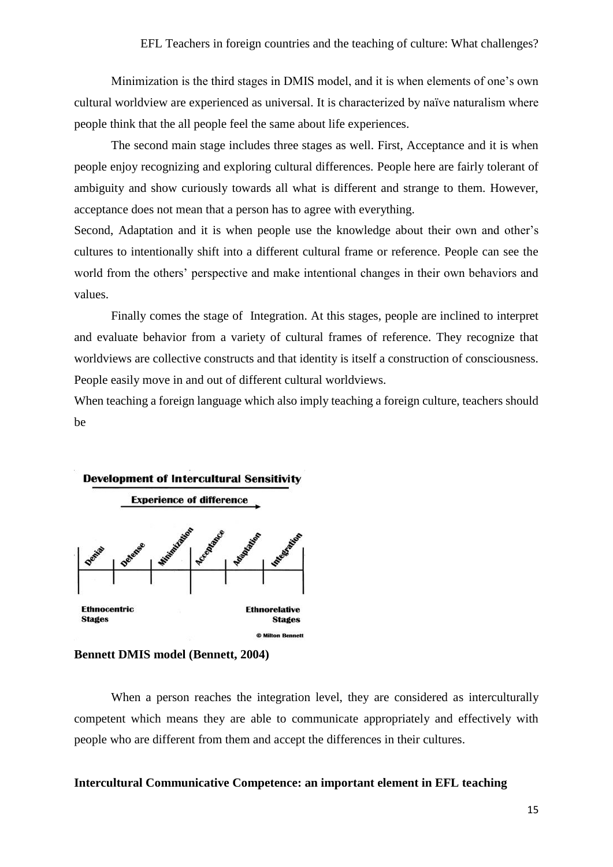Minimization is the third stages in DMIS model, and it is when elements of one's own cultural worldview are experienced as universal. It is characterized by naïve naturalism where people think that the all people feel the same about life experiences.

The second main stage includes three stages as well. First, Acceptance and it is when people enjoy recognizing and exploring cultural differences. People here are fairly tolerant of ambiguity and show curiously towards all what is different and strange to them. However, acceptance does not mean that a person has to agree with everything.

Second, Adaptation and it is when people use the knowledge about their own and other's cultures to intentionally shift into a different cultural frame or reference. People can see the world from the others' perspective and make intentional changes in their own behaviors and values.

Finally comes the stage of Integration. At this stages, people are inclined to interpret and evaluate behavior from a variety of cultural frames of reference. They recognize that worldviews are collective constructs and that identity is itself a construction of consciousness. People easily move in and out of different cultural worldviews.

When teaching a foreign language which also imply teaching a foreign culture, teachers should be



**Bennett DMIS model (Bennett, 2004)**

When a person reaches the integration level, they are considered as interculturally competent which means they are able to communicate appropriately and effectively with people who are different from them and accept the differences in their cultures.

## **Intercultural Communicative Competence: an important element in EFL teaching**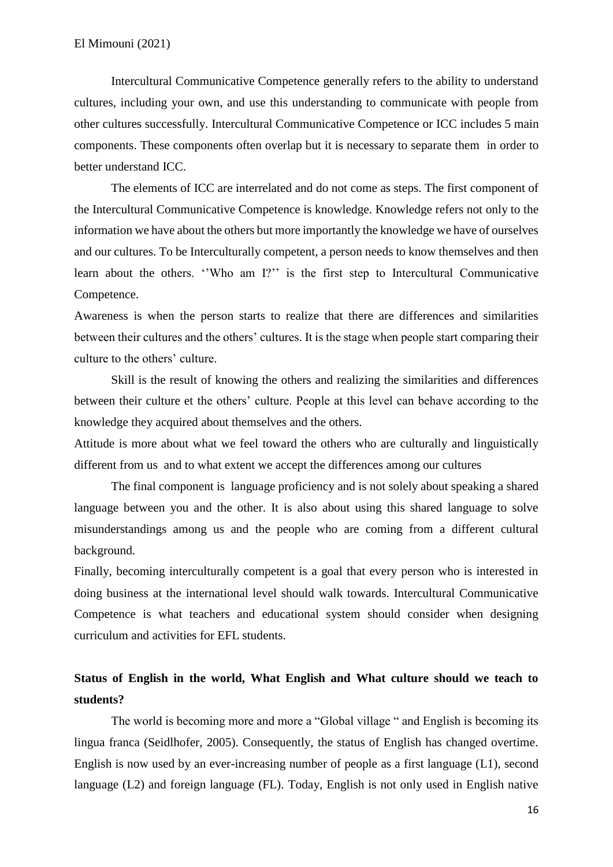Intercultural Communicative Competence generally refers to the ability to understand cultures, including your own, and use this understanding to communicate with people from other cultures successfully. Intercultural Communicative Competence or ICC includes 5 main components. These components often overlap but it is necessary to separate them in order to better understand ICC.

The elements of ICC are interrelated and do not come as steps. The first component of the Intercultural Communicative Competence is knowledge. Knowledge refers not only to the information we have about the others but more importantly the knowledge we have of ourselves and our cultures. To be Interculturally competent, a person needs to know themselves and then learn about the others. ''Who am I?'' is the first step to Intercultural Communicative Competence.

Awareness is when the person starts to realize that there are differences and similarities between their cultures and the others' cultures. It is the stage when people start comparing their culture to the others' culture.

Skill is the result of knowing the others and realizing the similarities and differences between their culture et the others' culture. People at this level can behave according to the knowledge they acquired about themselves and the others.

Attitude is more about what we feel toward the others who are culturally and linguistically different from us and to what extent we accept the differences among our cultures

The final component is language proficiency and is not solely about speaking a shared language between you and the other. It is also about using this shared language to solve misunderstandings among us and the people who are coming from a different cultural background.

Finally, becoming interculturally competent is a goal that every person who is interested in doing business at the international level should walk towards. Intercultural Communicative Competence is what teachers and educational system should consider when designing curriculum and activities for EFL students.

# **Status of English in the world, What English and What culture should we teach to students?**

The world is becoming more and more a "Global village " and English is becoming its lingua franca (Seidlhofer, 2005). Consequently, the status of English has changed overtime. English is now used by an ever-increasing number of people as a first language (L1), second language (L2) and foreign language (FL). Today, English is not only used in English native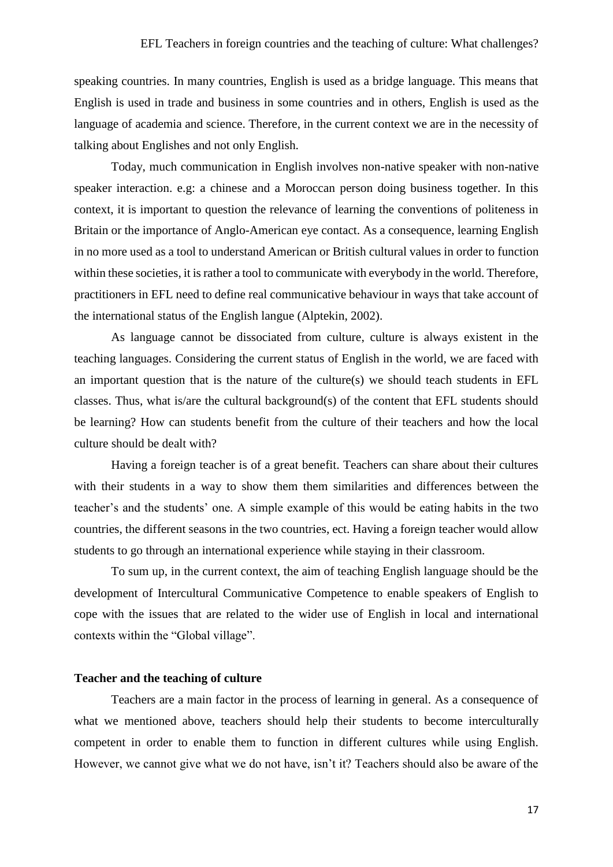speaking countries. In many countries, English is used as a bridge language. This means that English is used in trade and business in some countries and in others, English is used as the language of academia and science. Therefore, in the current context we are in the necessity of talking about Englishes and not only English.

Today, much communication in English involves non-native speaker with non-native speaker interaction. e.g: a chinese and a Moroccan person doing business together. In this context, it is important to question the relevance of learning the conventions of politeness in Britain or the importance of Anglo-American eye contact. As a consequence, learning English in no more used as a tool to understand American or British cultural values in order to function within these societies, it is rather a tool to communicate with everybody in the world. Therefore, practitioners in EFL need to define real communicative behaviour in ways that take account of the international status of the English langue (Alptekin, 2002).

As language cannot be dissociated from culture, culture is always existent in the teaching languages. Considering the current status of English in the world, we are faced with an important question that is the nature of the culture(s) we should teach students in EFL classes. Thus, what is/are the cultural background(s) of the content that EFL students should be learning? How can students benefit from the culture of their teachers and how the local culture should be dealt with?

Having a foreign teacher is of a great benefit. Teachers can share about their cultures with their students in a way to show them them similarities and differences between the teacher's and the students' one. A simple example of this would be eating habits in the two countries, the different seasons in the two countries, ect. Having a foreign teacher would allow students to go through an international experience while staying in their classroom.

To sum up, in the current context, the aim of teaching English language should be the development of Intercultural Communicative Competence to enable speakers of English to cope with the issues that are related to the wider use of English in local and international contexts within the "Global village".

#### **Teacher and the teaching of culture**

Teachers are a main factor in the process of learning in general. As a consequence of what we mentioned above, teachers should help their students to become interculturally competent in order to enable them to function in different cultures while using English. However, we cannot give what we do not have, isn't it? Teachers should also be aware of the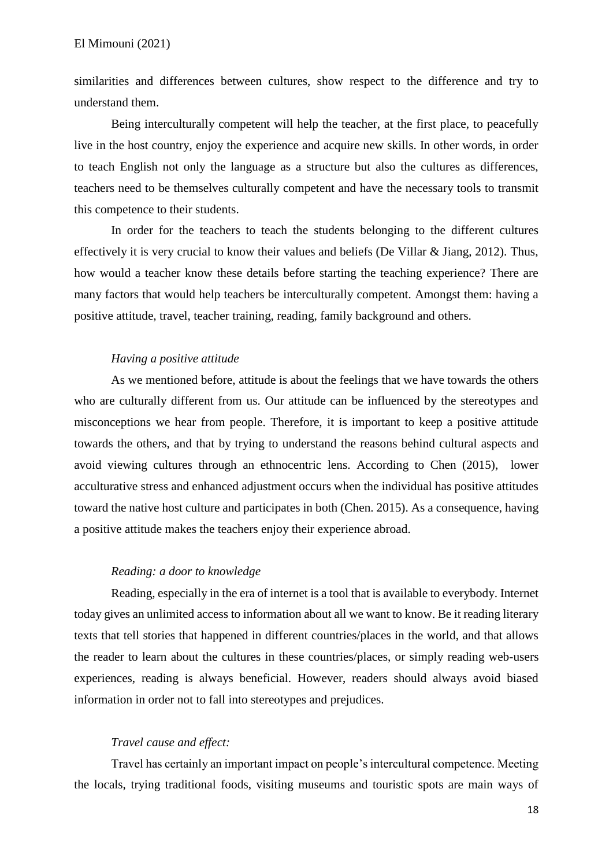similarities and differences between cultures, show respect to the difference and try to understand them.

Being interculturally competent will help the teacher, at the first place, to peacefully live in the host country, enjoy the experience and acquire new skills. In other words, in order to teach English not only the language as a structure but also the cultures as differences, teachers need to be themselves culturally competent and have the necessary tools to transmit this competence to their students.

In order for the teachers to teach the students belonging to the different cultures effectively it is very crucial to know their values and beliefs (De Villar & Jiang, 2012). Thus, how would a teacher know these details before starting the teaching experience? There are many factors that would help teachers be interculturally competent. Amongst them: having a positive attitude, travel, teacher training, reading, family background and others.

## *Having a positive attitude*

As we mentioned before, attitude is about the feelings that we have towards the others who are culturally different from us. Our attitude can be influenced by the stereotypes and misconceptions we hear from people. Therefore, it is important to keep a positive attitude towards the others, and that by trying to understand the reasons behind cultural aspects and avoid viewing cultures through an ethnocentric lens. According to Chen (2015), lower acculturative stress and enhanced adjustment occurs when the individual has positive attitudes toward the native host culture and participates in both (Chen. 2015). As a consequence, having a positive attitude makes the teachers enjoy their experience abroad.

#### *Reading: a door to knowledge*

Reading, especially in the era of internet is a tool that is available to everybody. Internet today gives an unlimited access to information about all we want to know. Be it reading literary texts that tell stories that happened in different countries/places in the world, and that allows the reader to learn about the cultures in these countries/places, or simply reading web-users experiences, reading is always beneficial. However, readers should always avoid biased information in order not to fall into stereotypes and prejudices.

#### *Travel cause and effect:*

Travel has certainly an important impact on people's intercultural competence. Meeting the locals, trying traditional foods, visiting museums and touristic spots are main ways of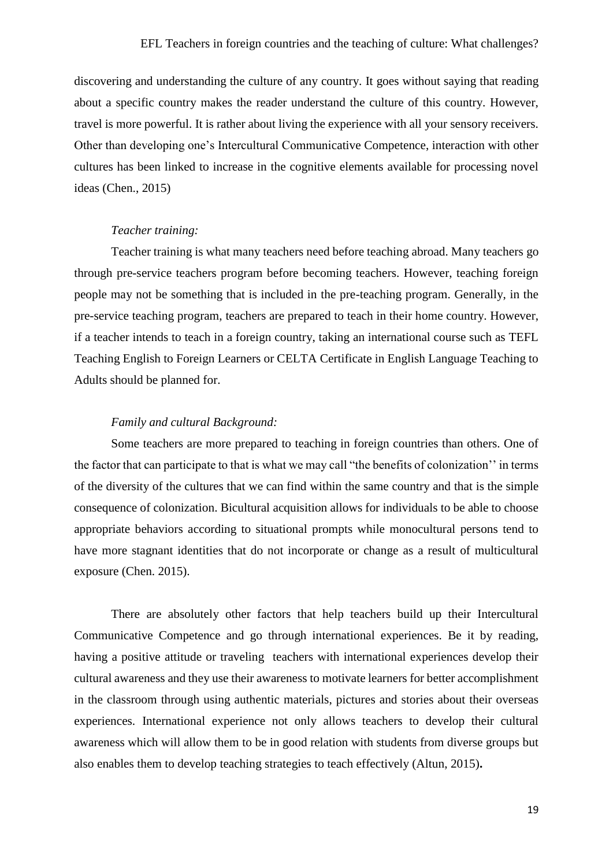discovering and understanding the culture of any country. It goes without saying that reading about a specific country makes the reader understand the culture of this country. However, travel is more powerful. It is rather about living the experience with all your sensory receivers. Other than developing one's Intercultural Communicative Competence, interaction with other cultures has been linked to increase in the cognitive elements available for processing novel ideas (Chen., 2015)

### *Teacher training:*

Teacher training is what many teachers need before teaching abroad. Many teachers go through pre-service teachers program before becoming teachers. However, teaching foreign people may not be something that is included in the pre-teaching program. Generally, in the pre-service teaching program, teachers are prepared to teach in their home country. However, if a teacher intends to teach in a foreign country, taking an international course such as TEFL Teaching English to Foreign Learners or CELTA Certificate in English Language Teaching to Adults should be planned for.

### *Family and cultural Background:*

Some teachers are more prepared to teaching in foreign countries than others. One of the factor that can participate to that is what we may call "the benefits of colonization'' in terms of the diversity of the cultures that we can find within the same country and that is the simple consequence of colonization. Bicultural acquisition allows for individuals to be able to choose appropriate behaviors according to situational prompts while monocultural persons tend to have more stagnant identities that do not incorporate or change as a result of multicultural exposure (Chen. 2015).

There are absolutely other factors that help teachers build up their Intercultural Communicative Competence and go through international experiences. Be it by reading, having a positive attitude or traveling teachers with international experiences develop their cultural awareness and they use their awareness to motivate learners for better accomplishment in the classroom through using authentic materials, pictures and stories about their overseas experiences. International experience not only allows teachers to develop their cultural awareness which will allow them to be in good relation with students from diverse groups but also enables them to develop teaching strategies to teach effectively (Altun, 2015)**.**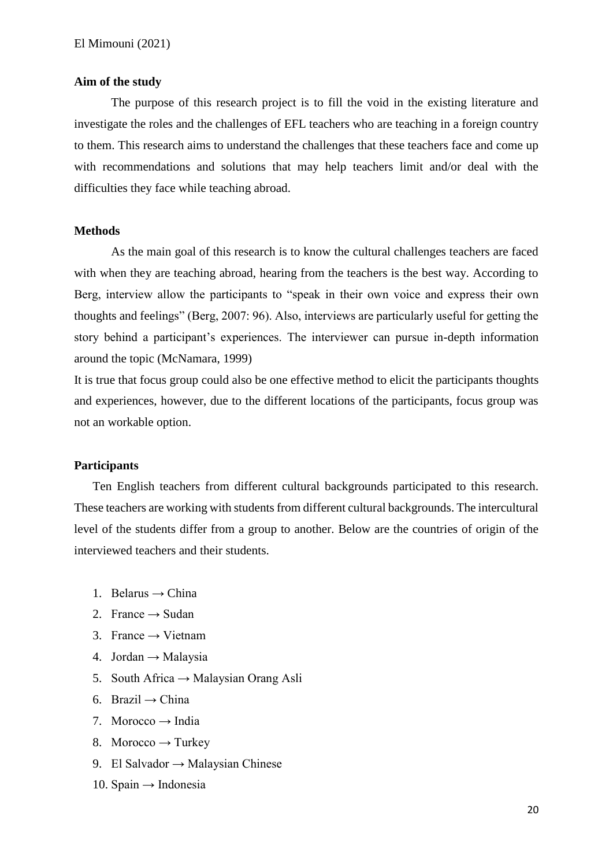#### **Aim of the study**

The purpose of this research project is to fill the void in the existing literature and investigate the roles and the challenges of EFL teachers who are teaching in a foreign country to them. This research aims to understand the challenges that these teachers face and come up with recommendations and solutions that may help teachers limit and/or deal with the difficulties they face while teaching abroad.

#### **Methods**

As the main goal of this research is to know the cultural challenges teachers are faced with when they are teaching abroad, hearing from the teachers is the best way. According to Berg, interview allow the participants to "speak in their own voice and express their own thoughts and feelings" (Berg, 2007: 96). Also, interviews are particularly useful for getting the story behind a participant's experiences. The interviewer can pursue in-depth information around the topic (McNamara, 1999)

It is true that focus group could also be one effective method to elicit the participants thoughts and experiences, however, due to the different locations of the participants, focus group was not an workable option.

#### **Participants**

Ten English teachers from different cultural backgrounds participated to this research. These teachers are working with students from different cultural backgrounds. The intercultural level of the students differ from a group to another. Below are the countries of origin of the interviewed teachers and their students.

- 1. Belarus  $\rightarrow$  China
- 2. France  $\rightarrow$  Sudan
- 3. France  $\rightarrow$  Vietnam
- 4. Jordan  $\rightarrow$  Malaysia
- 5. South Africa  $\rightarrow$  Malaysian Orang Asli
- 6. Brazil → China
- 7. Morocco  $\rightarrow$  India
- 8. Morocco  $\rightarrow$  Turkey
- 9. El Salvador → Malaysian Chinese
- 10. Spain  $\rightarrow$  Indonesia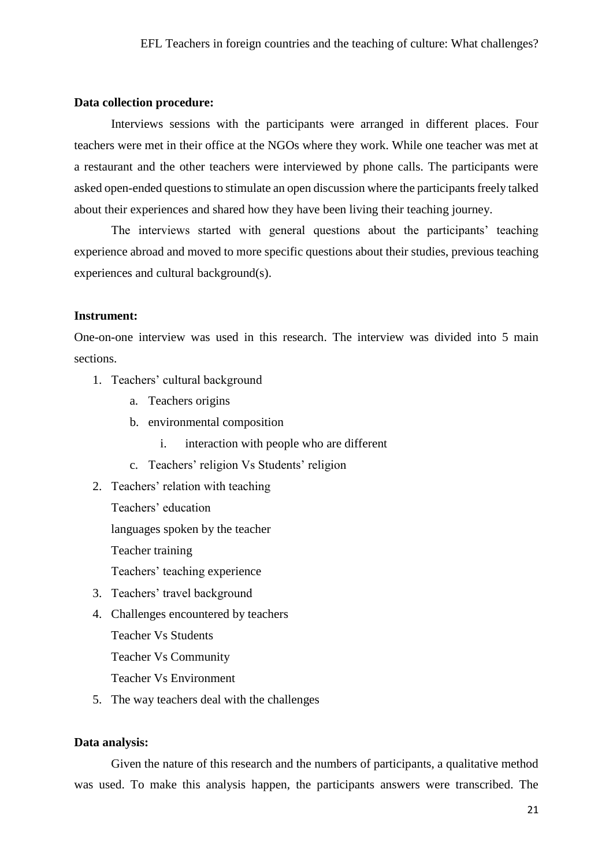#### **Data collection procedure:**

Interviews sessions with the participants were arranged in different places. Four teachers were met in their office at the NGOs where they work. While one teacher was met at a restaurant and the other teachers were interviewed by phone calls. The participants were asked open-ended questions to stimulate an open discussion where the participants freely talked about their experiences and shared how they have been living their teaching journey.

The interviews started with general questions about the participants' teaching experience abroad and moved to more specific questions about their studies, previous teaching experiences and cultural background(s).

#### **Instrument:**

One-on-one interview was used in this research. The interview was divided into 5 main sections.

- 1. Teachers' cultural background
	- a. Teachers origins
	- b. environmental composition
		- i. interaction with people who are different
	- c. Teachers' religion Vs Students' religion
- 2. Teachers' relation with teaching
	- Teachers' education languages spoken by the teacher Teacher training Teachers' teaching experience
- 3. Teachers' travel background
- 4. Challenges encountered by teachers

Teacher Vs Students

Teacher Vs Community

Teacher Vs Environment

5. The way teachers deal with the challenges

#### **Data analysis:**

Given the nature of this research and the numbers of participants, a qualitative method was used. To make this analysis happen, the participants answers were transcribed. The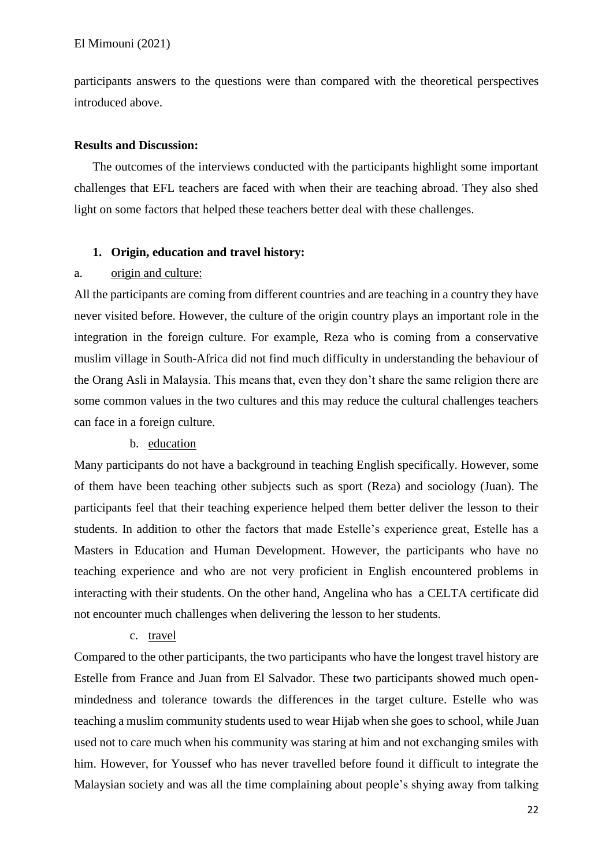participants answers to the questions were than compared with the theoretical perspectives introduced above.

### **Results and Discussion:**

The outcomes of the interviews conducted with the participants highlight some important challenges that EFL teachers are faced with when their are teaching abroad. They also shed light on some factors that helped these teachers better deal with these challenges.

#### **1. Origin, education and travel history:**

## a. origin and culture:

All the participants are coming from different countries and are teaching in a country they have never visited before. However, the culture of the origin country plays an important role in the integration in the foreign culture. For example, Reza who is coming from a conservative muslim village in South-Africa did not find much difficulty in understanding the behaviour of the Orang Asli in Malaysia. This means that, even they don't share the same religion there are some common values in the two cultures and this may reduce the cultural challenges teachers can face in a foreign culture.

## b. education

Many participants do not have a background in teaching English specifically. However, some of them have been teaching other subjects such as sport (Reza) and sociology (Juan). The participants feel that their teaching experience helped them better deliver the lesson to their students. In addition to other the factors that made Estelle's experience great, Estelle has a Masters in Education and Human Development. However, the participants who have no teaching experience and who are not very proficient in English encountered problems in interacting with their students. On the other hand, Angelina who has a CELTA certificate did not encounter much challenges when delivering the lesson to her students.

## c. travel

Compared to the other participants, the two participants who have the longest travel history are Estelle from France and Juan from El Salvador. These two participants showed much openmindedness and tolerance towards the differences in the target culture. Estelle who was teaching a muslim community students used to wear Hijab when she goes to school, while Juan used not to care much when his community was staring at him and not exchanging smiles with him. However, for Youssef who has never travelled before found it difficult to integrate the Malaysian society and was all the time complaining about people's shying away from talking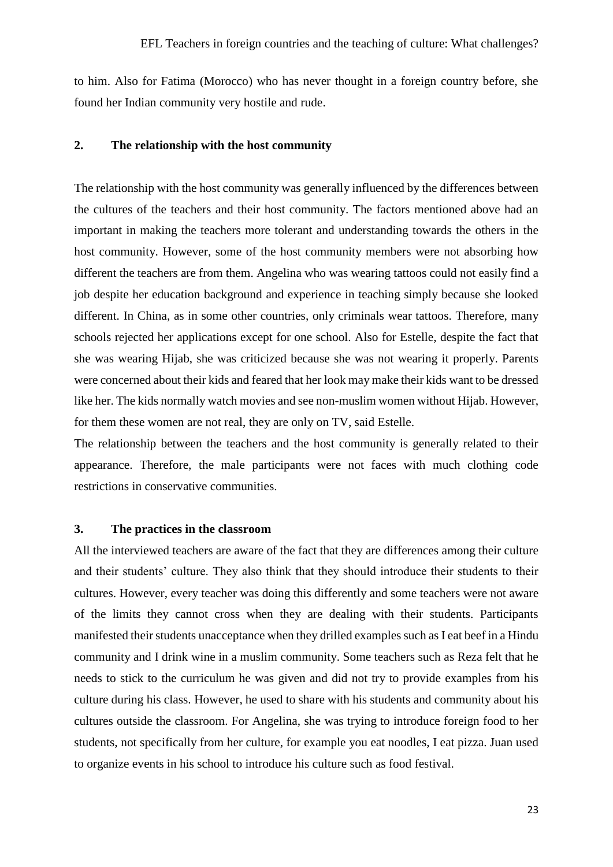to him. Also for Fatima (Morocco) who has never thought in a foreign country before, she found her Indian community very hostile and rude.

## **2. The relationship with the host community**

The relationship with the host community was generally influenced by the differences between the cultures of the teachers and their host community. The factors mentioned above had an important in making the teachers more tolerant and understanding towards the others in the host community. However, some of the host community members were not absorbing how different the teachers are from them. Angelina who was wearing tattoos could not easily find a job despite her education background and experience in teaching simply because she looked different. In China, as in some other countries, only criminals wear tattoos. Therefore, many schools rejected her applications except for one school. Also for Estelle, despite the fact that she was wearing Hijab, she was criticized because she was not wearing it properly. Parents were concerned about their kids and feared that her look may make their kids want to be dressed like her. The kids normally watch movies and see non-muslim women without Hijab. However, for them these women are not real, they are only on TV, said Estelle.

The relationship between the teachers and the host community is generally related to their appearance. Therefore, the male participants were not faces with much clothing code restrictions in conservative communities.

#### **3. The practices in the classroom**

All the interviewed teachers are aware of the fact that they are differences among their culture and their students' culture. They also think that they should introduce their students to their cultures. However, every teacher was doing this differently and some teachers were not aware of the limits they cannot cross when they are dealing with their students. Participants manifested their students unacceptance when they drilled examples such as I eat beef in a Hindu community and I drink wine in a muslim community. Some teachers such as Reza felt that he needs to stick to the curriculum he was given and did not try to provide examples from his culture during his class. However, he used to share with his students and community about his cultures outside the classroom. For Angelina, she was trying to introduce foreign food to her students, not specifically from her culture, for example you eat noodles, I eat pizza. Juan used to organize events in his school to introduce his culture such as food festival.